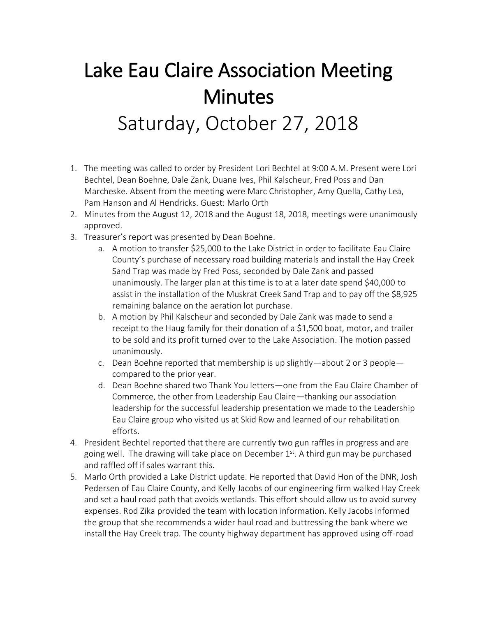## Lake Eau Claire Association Meeting **Minutes** Saturday, October 27, 2018

- 1. The meeting was called to order by President Lori Bechtel at 9:00 A.M. Present were Lori Bechtel, Dean Boehne, Dale Zank, Duane Ives, Phil Kalscheur, Fred Poss and Dan Marcheske. Absent from the meeting were Marc Christopher, Amy Quella, Cathy Lea, Pam Hanson and Al Hendricks. Guest: Marlo Orth
- 2. Minutes from the August 12, 2018 and the August 18, 2018, meetings were unanimously approved.
- 3. Treasurer's report was presented by Dean Boehne.
	- a. A motion to transfer \$25,000 to the Lake District in order to facilitate Eau Claire County's purchase of necessary road building materials and install the Hay Creek Sand Trap was made by Fred Poss, seconded by Dale Zank and passed unanimously. The larger plan at this time is to at a later date spend \$40,000 to assist in the installation of the Muskrat Creek Sand Trap and to pay off the \$8,925 remaining balance on the aeration lot purchase.
	- b. A motion by Phil Kalscheur and seconded by Dale Zank was made to send a receipt to the Haug family for their donation of a \$1,500 boat, motor, and trailer to be sold and its profit turned over to the Lake Association. The motion passed unanimously.
	- c. Dean Boehne reported that membership is up slightly—about 2 or 3 people compared to the prior year.
	- d. Dean Boehne shared two Thank You letters—one from the Eau Claire Chamber of Commerce, the other from Leadership Eau Claire—thanking our association leadership for the successful leadership presentation we made to the Leadership Eau Claire group who visited us at Skid Row and learned of our rehabilitation efforts.
- 4. President Bechtel reported that there are currently two gun raffles in progress and are going well. The drawing will take place on December  $1<sup>st</sup>$ . A third gun may be purchased and raffled off if sales warrant this.
- 5. Marlo Orth provided a Lake District update. He reported that David Hon of the DNR, Josh Pedersen of Eau Claire County, and Kelly Jacobs of our engineering firm walked Hay Creek and set a haul road path that avoids wetlands. This effort should allow us to avoid survey expenses. Rod Zika provided the team with location information. Kelly Jacobs informed the group that she recommends a wider haul road and buttressing the bank where we install the Hay Creek trap. The county highway department has approved using off-road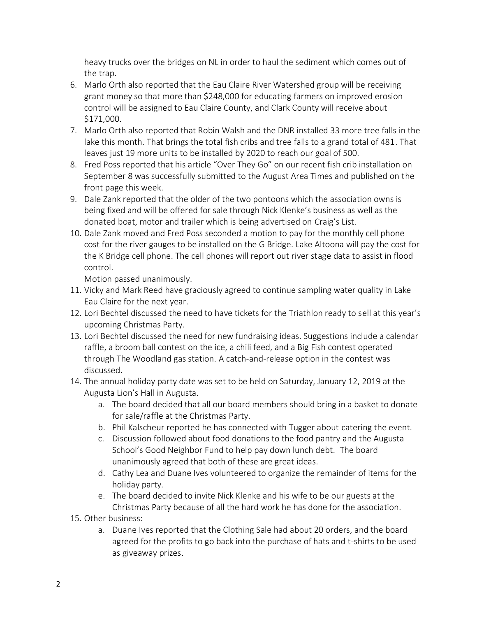heavy trucks over the bridges on NL in order to haul the sediment which comes out of the trap.

- 6. Marlo Orth also reported that the Eau Claire River Watershed group will be receiving grant money so that more than \$248,000 for educating farmers on improved erosion control will be assigned to Eau Claire County, and Clark County will receive about \$171,000.
- 7. Marlo Orth also reported that Robin Walsh and the DNR installed 33 more tree falls in the lake this month. That brings the total fish cribs and tree falls to a grand total of 481. That leaves just 19 more units to be installed by 2020 to reach our goal of 500.
- 8. Fred Poss reported that his article "Over They Go" on our recent fish crib installation on September 8 was successfully submitted to the August Area Times and published on the front page this week.
- 9. Dale Zank reported that the older of the two pontoons which the association owns is being fixed and will be offered for sale through Nick Klenke's business as well as the donated boat, motor and trailer which is being advertised on Craig's List.
- 10. Dale Zank moved and Fred Poss seconded a motion to pay for the monthly cell phone cost for the river gauges to be installed on the G Bridge. Lake Altoona will pay the cost for the K Bridge cell phone. The cell phones will report out river stage data to assist in flood control.

Motion passed unanimously.

- 11. Vicky and Mark Reed have graciously agreed to continue sampling water quality in Lake Eau Claire for the next year.
- 12. Lori Bechtel discussed the need to have tickets for the Triathlon ready to sell at this year's upcoming Christmas Party.
- 13. Lori Bechtel discussed the need for new fundraising ideas. Suggestions include a calendar raffle, a broom ball contest on the ice, a chili feed, and a Big Fish contest operated through The Woodland gas station. A catch-and-release option in the contest was discussed.
- 14. The annual holiday party date was set to be held on Saturday, January 12, 2019 at the Augusta Lion's Hall in Augusta.
	- a. The board decided that all our board members should bring in a basket to donate for sale/raffle at the Christmas Party.
	- b. Phil Kalscheur reported he has connected with Tugger about catering the event.
	- c. Discussion followed about food donations to the food pantry and the Augusta School's Good Neighbor Fund to help pay down lunch debt. The board unanimously agreed that both of these are great ideas.
	- d. Cathy Lea and Duane Ives volunteered to organize the remainder of items for the holiday party.
	- e. The board decided to invite Nick Klenke and his wife to be our guests at the Christmas Party because of all the hard work he has done for the association.
- 15. Other business:
	- a. Duane Ives reported that the Clothing Sale had about 20 orders, and the board agreed for the profits to go back into the purchase of hats and t-shirts to be used as giveaway prizes.